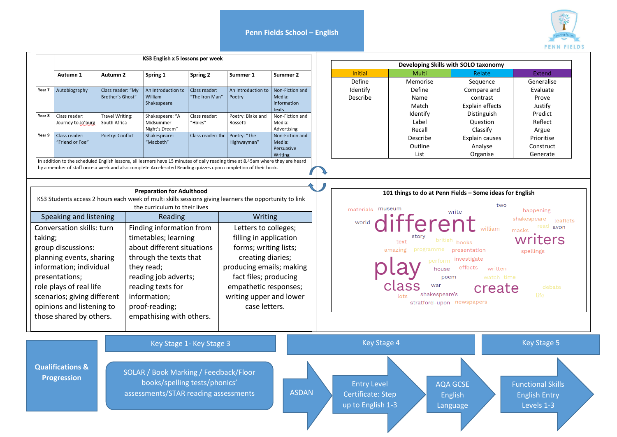**Penn Fields School – English** 



|                             |                                                   |                                 |                                                                                                                                                                             |                          |                               |                           |  |                                                          |                          |                                                                 | <b>PENN FIELDS</b>                               |
|-----------------------------|---------------------------------------------------|---------------------------------|-----------------------------------------------------------------------------------------------------------------------------------------------------------------------------|--------------------------|-------------------------------|---------------------------|--|----------------------------------------------------------|--------------------------|-----------------------------------------------------------------|--------------------------------------------------|
|                             |                                                   |                                 | KS3 English x 5 lessons per week                                                                                                                                            |                          |                               |                           |  |                                                          |                          |                                                                 |                                                  |
|                             |                                                   |                                 |                                                                                                                                                                             |                          |                               |                           |  | Developing Skills with SOLO taxonomy<br>Initial<br>Multi |                          |                                                                 |                                                  |
|                             | Autumn 1                                          | Autumn 2                        | Spring 1                                                                                                                                                                    | Spring 2                 | Summer 1                      | Summer 2                  |  | Define                                                   | Memorise                 | Relate<br>Sequence                                              | Extend<br>Generalise                             |
| Year 7                      | Autobiography                                     | Class reader: "My               | An Introduction to                                                                                                                                                          | Class reader:            | An Introduction to            | Non-Fiction and           |  | Identify                                                 | Define                   | Compare and                                                     | Evaluate                                         |
|                             |                                                   | Brother's Ghost"                | William                                                                                                                                                                     | "The Iron Man"           | Poetry                        | Media:                    |  | Describe                                                 | Name                     | contrast                                                        | Prove                                            |
|                             |                                                   |                                 | Shakespeare                                                                                                                                                                 |                          |                               | information               |  |                                                          | Match                    | Explain effects                                                 | Justify                                          |
| Year 8                      |                                                   |                                 |                                                                                                                                                                             |                          |                               | texts                     |  |                                                          | Identify                 | Distinguish                                                     | Predict                                          |
|                             | Class reader:<br>Journey to Jo'burg               | Travel Writing:<br>South Africa | Shakespeare: "A<br>Midsummer                                                                                                                                                | Class reader:<br>"Holes" | Poetry: Blake and<br>Rossetti | Non-Fiction and<br>Media: |  |                                                          | Label                    | Question                                                        | Reflect                                          |
|                             |                                                   |                                 | Night's Dream"                                                                                                                                                              |                          |                               | Advertising               |  |                                                          | Recall                   | Classify                                                        | Argue                                            |
| Year 9                      | Class reader:                                     | Poetry: Conflict                | Shakespeare:                                                                                                                                                                | Class reader: tbc        | Poetry: "The                  | Non-Fiction and           |  |                                                          | Describe                 | Explain causes                                                  | Prioritise                                       |
|                             | "Friend or Foe"                                   |                                 | "Macbeth"                                                                                                                                                                   |                          | Highwayman"                   | Media:<br>Persuasive      |  |                                                          | Outline                  | Analyse                                                         | Construct                                        |
|                             |                                                   |                                 |                                                                                                                                                                             |                          |                               | Writing                   |  |                                                          | List                     | Organise                                                        | Generate                                         |
|                             |                                                   |                                 | <b>Preparation for Adulthood</b><br>KS3 Students access 2 hours each week of multi skills sessions giving learners the opportunity to link<br>the curriculum to their lives |                          |                               |                           |  | materials museum                                         |                          | 101 things to do at Penn Fields - Some ideas for English<br>two |                                                  |
|                             |                                                   |                                 | Reading                                                                                                                                                                     |                          | Writing                       |                           |  |                                                          |                          |                                                                 | happening                                        |
| Speaking and listening      |                                                   |                                 |                                                                                                                                                                             |                          |                               |                           |  |                                                          | <b>WORTHOUTHERENT</b>    |                                                                 | shakespeare<br>leaflets                          |
| Conversation skills: turn   |                                                   |                                 | Finding information from                                                                                                                                                    |                          | Letters to colleges;          |                           |  |                                                          |                          | william                                                         | read avon<br>masks                               |
| taking;                     |                                                   |                                 | timetables; learning                                                                                                                                                        |                          | filling in application        |                           |  |                                                          | story<br>british<br>text | books                                                           | writers                                          |
| group discussions:          |                                                   |                                 | about different situations                                                                                                                                                  |                          | forms; writing lists;         |                           |  |                                                          | programme<br>amazing     | presentation                                                    | spellings                                        |
| planning events, sharing    |                                                   |                                 | through the texts that                                                                                                                                                      |                          | creating diaries;             |                           |  |                                                          | perform                  | investigate                                                     |                                                  |
| information; individual     |                                                   |                                 | they read;                                                                                                                                                                  |                          | producing emails; making      |                           |  |                                                          | house                    | effects<br>written                                              |                                                  |
| presentations;              |                                                   |                                 | reading job adverts;                                                                                                                                                        |                          | fact files; producing         |                           |  |                                                          |                          | poem<br>watch time                                              |                                                  |
|                             |                                                   |                                 | reading texts for                                                                                                                                                           |                          | empathetic responses;         |                           |  |                                                          | war                      |                                                                 | debate                                           |
| role plays of real life     |                                                   |                                 |                                                                                                                                                                             |                          |                               |                           |  |                                                          | shakespeare's            | create                                                          | <b>Life</b>                                      |
| scenarios; giving different |                                                   |                                 | information;                                                                                                                                                                |                          | writing upper and lower       |                           |  |                                                          |                          | stratford-upon newspapers                                       |                                                  |
| opinions and listening to   |                                                   |                                 | proof-reading;                                                                                                                                                              |                          | case letters.                 |                           |  |                                                          |                          |                                                                 |                                                  |
|                             | those shared by others.                           |                                 | empathising with others.                                                                                                                                                    |                          |                               |                           |  |                                                          |                          |                                                                 |                                                  |
|                             |                                                   |                                 |                                                                                                                                                                             | Key Stage 1- Key Stage 3 |                               |                           |  | <b>Key Stage 4</b>                                       |                          |                                                                 | <b>Key Stage 5</b>                               |
|                             | <b>Qualifications &amp;</b><br><b>Progression</b> |                                 | SOLAR / Book Marking / Feedback/Floor<br>books/spelling tests/phonics'<br>assessments/STAR reading assessments                                                              |                          |                               | <b>ASDAN</b>              |  | <b>Entry Level</b><br>Certificate: Step                  |                          | <b>AQA GCSE</b><br><b>English</b>                               | <b>Functional Skills</b><br><b>English Entry</b> |